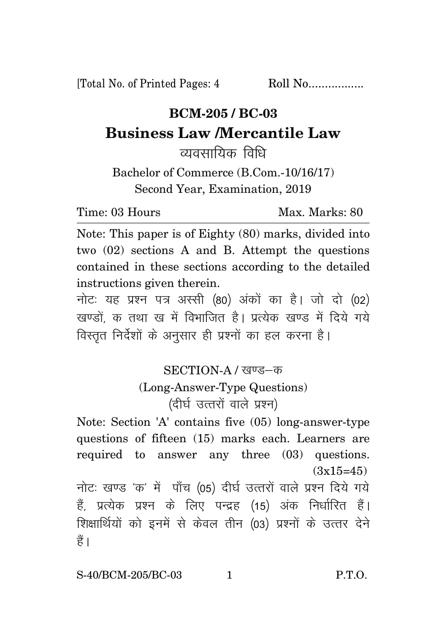[Total No. of Printed Pages: 4 Roll No..................

## **BCM-205 / BC-03 Business Law /Mercantile Law**

व्यवसायिक विधि

Bachelor of Commerce (B.Com.-10/16/17) Second Year, Examination, 2019

Time: 03 Hours Max. Marks: 80

Note: This paper is of Eighty (80) marks, divided into two (02) sections A and B. Attempt the questions contained in these sections according to the detailed instructions given therein.

नोटः यह प्रश्न पत्र अस्सी (80) अंकों का है। जो दो (02) खण्डों क तथा ख में विभाजित है। प्रत्येक खण्ड में दिये गये विस्तृत निर्देशों के अनुसार ही प्रश्नों का हल करना है।

## SECTION-A / खण्ड-क (Long-Answer-Type Questions)

 $($ दीर्घ उत्तरों वाले प्रश्न)

Note: Section 'A' contains five (05) long-answer-type questions of fifteen (15) marks each. Learners are required to answer any three (03) questions.  $(3x15=45)$ नोटः खण्ड 'क' में पाँच (05) दीर्घ उत्तरों वाले प्रश्न दिये गये हैं, प्रत्येक प्रश्न के लिए पन्द्रह (15) अंक निर्धारित हैं। शिक्षार्थियों को इनमें से केवल तीन (03) प्रश्नों के उत्तर देने हैं ।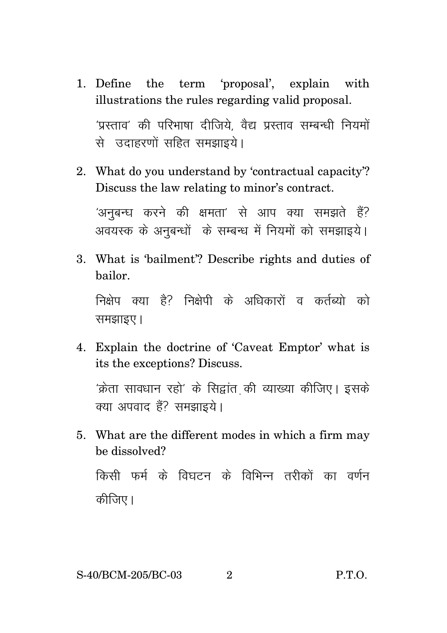- 1. Define the term 'proposal', explain with illustrations the rules regarding valid proposal. 'प्रस्ताव' की परिभाषा दीजिये. वैद्य प्रस्ताव सम्बन्धी नियमों से उदाहरणों सहित समझाइये।
- 2. What do you understand by 'contractual capacity'? Discuss the law relating to minor's contract.

'अनुबन्ध करने की क्षमता' से आप क्या समझते हैं? अवयस्क के अनबन्धों के सम्बन्ध में नियमों को समझाइये।

3. What is 'bailment'? Describe rights and duties of bailor.

निक्षेप क्या है? निक्षेपी के अधिकारों व कर्तब्यो को समझाइए।

4. Explain the doctrine of 'Caveat Emptor' what is its the exceptions? Discuss.

 $\hat{\mathbf{z}}$ क्रेता सावधान रहो $^{\prime}$  के सिद्वांत की व्याख्या कीजिए। इसके क्या अपवाद हैं? समझाइये।

5. What are the different modes in which a firm may be dissolved?

किसी फर्म के विघटन के विभिन्न तरीकों का वर्णन कीजिए।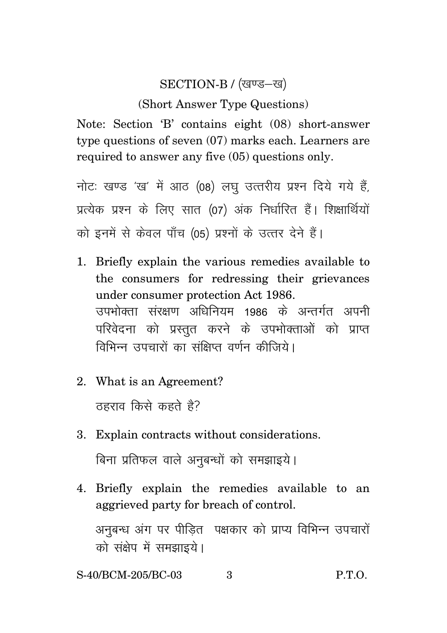## SECTION-B / (खण्ड-ख)

(Short Answer Type Questions)

Note: Section 'B' contains eight (08) short-answer type questions of seven (07) marks each. Learners are required to answer any five (05) questions only.

नोटः खण्ड 'ख' में आठ (08) लघु उत्तरीय प्रश्न दिये गये हैं, प्रत्येक प्रश्न के लिए सात (07) अंक निर्धारित हैं। शिक्षार्थियों को इनमें से केवल पाँच (05) प्रश्नों के उत्तर देने हैं।

- 1. Briefly explain the various remedies available to the consumers for redressing their grievances under consumer protection Act 1986. .<br>उपभोक्ता संरक्षण अधिनियम 1986 के अन्तर्गत अपनी परिवेदना को प्रस्तुत करने के उपभोक्ताओं को प्राप्त <u>विभिन्न उपचारों का संक्षिप्त वर्णन कीजिये।</u>
- 2. What is an Agreement?  $B_5$ हाराव किसे कहते है?
- 3. Explain contracts without considerations. बिना प्रतिफल वाले अनुबन्धों को समझाइये।
- 4. Briefly explain the remedies available to an aggrieved party for breach of control.

अनुबन्ध अंग पर पीडित पक्षकार को प्राप्य विभिन्न उपचारों को संक्षेप में समझाइये।